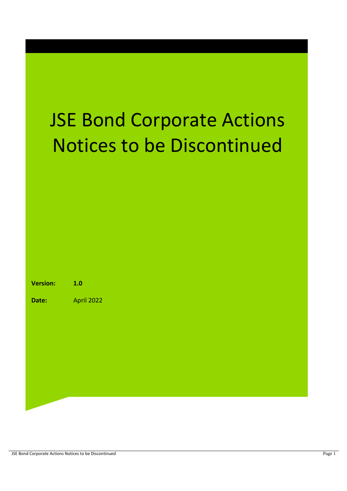# JSE Bond Corporate Actions Notices to be Discontinued

| <b>Version:</b> | 1.0        |
|-----------------|------------|
| <b>Date:</b>    | April 2022 |
|                 |            |

JSE Bond Corporate Actions Notices to be Discontinued Page 1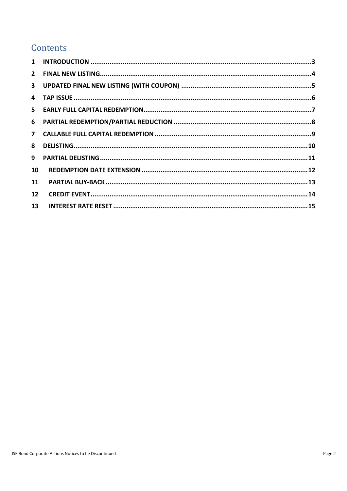# Contents

| 8  |  |
|----|--|
| 9  |  |
| 10 |  |
| 11 |  |
| 12 |  |
| 13 |  |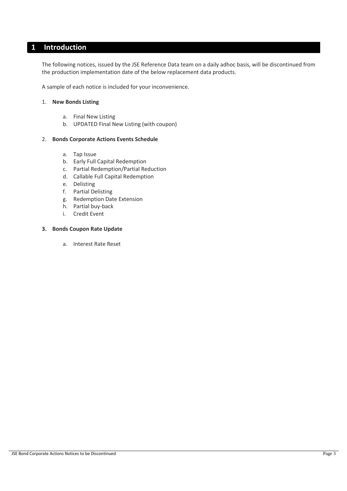## <span id="page-2-0"></span>**1 Introduction**

The following notices, issued by the JSE Reference Data team on a daily adhoc basis, will be discontinued from the production implementation date of the below replacement data products.

A sample of each notice is included for your inconvenience.

#### 1. **New Bonds Listing**

- a. Final New Listing
- b. UPDATED Final New Listing (with coupon)

#### 2. **Bonds Corporate Actions Events Schedule**

- a. Tap Issue
- b. Early Full Capital Redemption
- c. Partial Redemption/Partial Reduction
- d. Callable Full Capital Redemption
- e. Delisting
- f. Partial Delisting
- g. Redemption Date Extension
- h. Partial buy-back
- i. Credit Event

#### **3. Bonds Coupon Rate Update**

a. Interest Rate Reset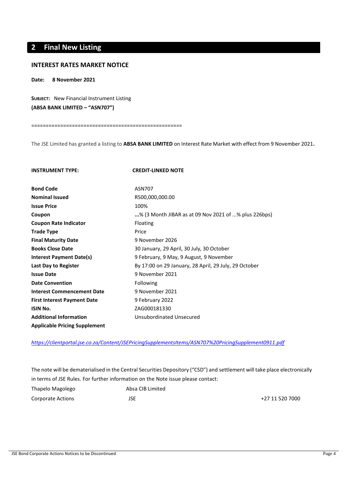# <span id="page-3-0"></span>**2 Final New Listing**

#### **INTEREST RATES MARKET NOTICE**

**Date: 8 November 2021**

**SUBJECT:** New Financial Instrument Listing

**(ABSA BANK LIMITED – "ASN707")**

====================================================

The JSE Limited has granted a listing to **ABSA BANK LIMITED** on Interest Rate Market with effect from 9 November 2021**.**

| <b>INSTRUMENT TYPE:</b>              | <b>CREDIT-LINKED NOTE</b>                             |
|--------------------------------------|-------------------------------------------------------|
| <b>Bond Code</b>                     | ASN707                                                |
| <b>Nominal Issued</b>                | R500,000,000.00                                       |
| <b>Issue Price</b>                   | 100%                                                  |
| Coupon                               | % (3 Month JIBAR as at 09 Nov 2021 of % plus 226bps)  |
| <b>Coupon Rate Indicator</b>         | Floating                                              |
| <b>Trade Type</b>                    | Price                                                 |
| <b>Final Maturity Date</b>           | 9 November 2026                                       |
| <b>Books Close Date</b>              | 30 January, 29 April, 30 July, 30 October             |
| Interest Payment Date(s)             | 9 February, 9 May, 9 August, 9 November               |
| Last Day to Register                 | By 17:00 on 29 January, 28 April, 29 July, 29 October |
| <b>Issue Date</b>                    | 9 November 2021                                       |
| <b>Date Convention</b>               | Following                                             |
| <b>Interest Commencement Date</b>    | 9 November 2021                                       |
| <b>First Interest Payment Date</b>   | 9 February 2022                                       |
| <b>ISIN No.</b>                      | ZAG000181330                                          |
| <b>Additional Information</b>        | Unsubordinated Unsecured                              |
| <b>Applicable Pricing Supplement</b> |                                                       |

*<https://clientportal.jse.co.za/Content/JSEPricingSupplementsItems/ASN707%20PricingSupplement0911.pdf>*

The note will be dematerialised in the Central Securities Depository ("CSD") and settlement will take place electronically in terms of JSE Rules. For further information on the Note issue please contact: Thapelo Magolego Absa CIB Limited Corporate Actions JSE +27 11 520 7000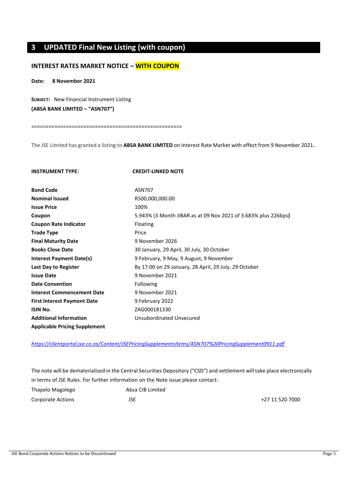# <span id="page-4-0"></span>**3 UPDATED Final New Listing (with coupon)**

## **INTEREST RATES MARKET NOTICE – WITH COUPON**

## **Date: 8 November 2021**

**SUBJECT:** New Financial Instrument Listing **(ABSA BANK LIMITED – "ASN707")**

====================================================

The JSE Limited has granted a listing to **ABSA BANK LIMITED** on Interest Rate Market with effect from 9 November 2021**.**

| <b>INSTRUMENT TYPE:</b>              | <b>CREDIT-LINKED NOTE</b>                                      |
|--------------------------------------|----------------------------------------------------------------|
| <b>Bond Code</b>                     | ASN707                                                         |
| <b>Nominal Issued</b>                | R500,000,000.00                                                |
| <b>Issue Price</b>                   | 100%                                                           |
| Coupon                               | 5.943% (3 Month JIBAR as at 09 Nov 2021 of 3.683% plus 226bps) |
| <b>Coupon Rate Indicator</b>         | Floating                                                       |
| <b>Trade Type</b>                    | Price                                                          |
| <b>Final Maturity Date</b>           | 9 November 2026                                                |
| <b>Books Close Date</b>              | 30 January, 29 April, 30 July, 30 October                      |
| <b>Interest Payment Date(s)</b>      | 9 February, 9 May, 9 August, 9 November                        |
| Last Day to Register                 | By 17:00 on 29 January, 28 April, 29 July, 29 October          |
| <b>Issue Date</b>                    | 9 November 2021                                                |
| <b>Date Convention</b>               | Following                                                      |
| <b>Interest Commencement Date</b>    | 9 November 2021                                                |
| <b>First Interest Payment Date</b>   | 9 February 2022                                                |
| <b>ISIN No.</b>                      | ZAG000181330                                                   |
| <b>Additional Information</b>        | Unsubordinated Unsecured                                       |
| <b>Applicable Pricing Supplement</b> |                                                                |

*<https://clientportal.jse.co.za/Content/JSEPricingSupplementsItems/ASN707%20PricingSupplement0911.pdf>*

The note will be dematerialised in the Central Securities Depository ("CSD") and settlement will take place electronically in terms of JSE Rules. For further information on the Note issue please contact:

| Thapelo Magolego  | Absa CIB Limited |                 |
|-------------------|------------------|-----------------|
| Corporate Actions | JSE              | +27 11 520 7000 |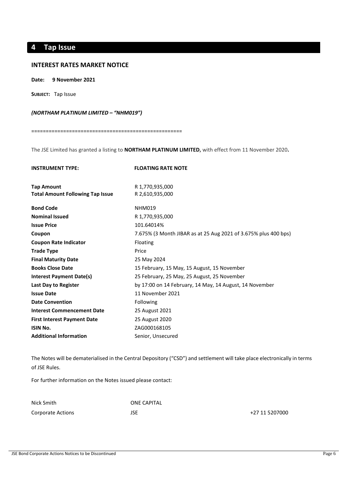# <span id="page-5-0"></span>**4 Tap Issue**

#### **INTEREST RATES MARKET NOTICE**

**Date: 9 November 2021**

**SUBJECT:** Tap Issue

#### *(NORTHAM PLATINUM LIMITED – "NHM019")*

====================================================

The JSE Limited has granted a listing to **NORTHAM PLATINUM LIMITED,** with effect from 11 November 2020**.** 

| <b>INSTRUMENT TYPE:</b>                 | <b>FLOATING RATE NOTE</b>                                       |
|-----------------------------------------|-----------------------------------------------------------------|
| <b>Tap Amount</b>                       | R 1,770,935,000                                                 |
| <b>Total Amount Following Tap Issue</b> | R 2,610,935,000                                                 |
| <b>Bond Code</b>                        | <b>NHM019</b>                                                   |
| <b>Nominal Issued</b>                   | R 1,770,935,000                                                 |
| <b>Issue Price</b>                      | 101.64014%                                                      |
| Coupon                                  | 7.675% (3 Month JIBAR as at 25 Aug 2021 of 3.675% plus 400 bps) |
| <b>Coupon Rate Indicator</b>            | Floating                                                        |
| <b>Trade Type</b>                       | Price                                                           |
| <b>Final Maturity Date</b>              | 25 May 2024                                                     |
| <b>Books Close Date</b>                 | 15 February, 15 May, 15 August, 15 November                     |
| <b>Interest Payment Date(s)</b>         | 25 February, 25 May, 25 August, 25 November                     |
| Last Day to Register                    | by 17:00 on 14 February, 14 May, 14 August, 14 November         |
| <b>Issue Date</b>                       | 11 November 2021                                                |
| <b>Date Convention</b>                  | Following                                                       |
| <b>Interest Commencement Date</b>       | 25 August 2021                                                  |
| <b>First Interest Payment Date</b>      | 25 August 2020                                                  |
| <b>ISIN No.</b>                         | ZAG000168105                                                    |
| <b>Additional Information</b>           | Senior, Unsecured                                               |

The Notes will be dematerialised in the Central Depository ("CSD") and settlement will take place electronically in terms of JSE Rules.

| Nick Smith        | ONE CAPITAL |                |
|-------------------|-------------|----------------|
| Corporate Actions | JSE         | +27 11 5207000 |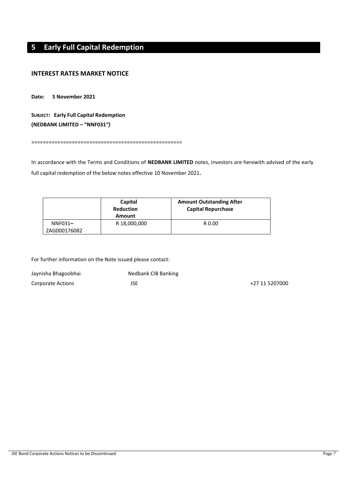# <span id="page-6-0"></span>**5 Early Full Capital Redemption**

## **INTEREST RATES MARKET NOTICE**

**Date: 5 November 2021**

**SUBJECT: Early Full Capital Redemption (NEDBANK LIMITED – "NNF031***")*

====================================================

In accordance with the Terms and Conditions of **NEDBANK LIMITED** notes, investors are herewith advised of the early full capital redemption of the below notes effective 10 November 2021**.**

|                         | Capital<br><b>Reduction</b><br>Amount | <b>Amount Outstanding After</b><br><b>Capital Repurchase</b> |
|-------------------------|---------------------------------------|--------------------------------------------------------------|
| NNF031-<br>ZAG000176082 | R 18,000,000                          | R 0.00                                                       |

| Jaynisha Bhagoobhai | Nedbank CIB Banking |                |
|---------------------|---------------------|----------------|
| Corporate Actions   | JSE                 | +27 11 5207000 |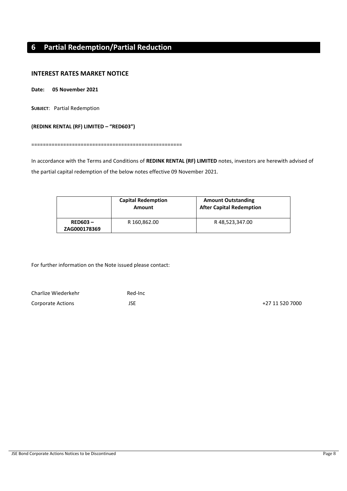# <span id="page-7-0"></span>**6 Partial Redemption/Partial Reduction**

## **INTEREST RATES MARKET NOTICE**

**Date: 05 November 2021**

**SUBJECT**: Partial Redemption

#### **(REDINK RENTAL (RF) LIMITED – "RED603")**

====================================================

In accordance with the Terms and Conditions of **REDINK RENTAL (RF) LIMITED** notes, investors are herewith advised of the partial capital redemption of the below notes effective 09 November 2021.

|                            | <b>Capital Redemption</b><br>Amount | <b>Amount Outstanding</b><br><b>After Capital Redemption</b> |
|----------------------------|-------------------------------------|--------------------------------------------------------------|
| $RED603 -$<br>ZAG000178369 | R 160,862.00                        | R48,523,347.00                                               |

| Charlize Wiederkehr | Red-Inc |                 |
|---------------------|---------|-----------------|
| Corporate Actions   | JSE     | +27 11 520 7000 |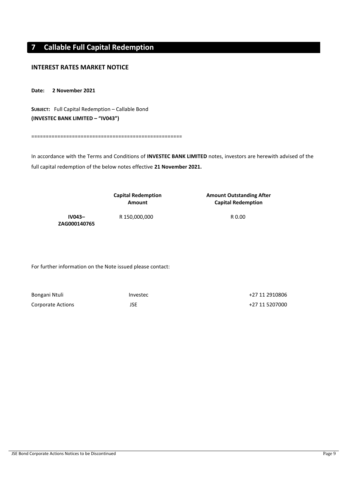# <span id="page-8-0"></span>**7 Callable Full Capital Redemption**

## **INTEREST RATES MARKET NOTICE**

**Date: 2 November 2021**

**SUBJECT:** Full Capital Redemption – Callable Bond **(INVESTEC BANK LIMITED – "IV043")**

====================================================

In accordance with the Terms and Conditions of **INVESTEC BANK LIMITED** notes, investors are herewith advised of the full capital redemption of the below notes effective **21 November 2021.**

|                          | <b>Capital Redemption</b><br>Amount | <b>Amount Outstanding After</b><br><b>Capital Redemption</b> |
|--------------------------|-------------------------------------|--------------------------------------------------------------|
| $IV043-$<br>ZAG000140765 | R 150,000,000                       | R 0.00                                                       |

| Bongani Ntuli            | Investec | +27 11 2910806 |
|--------------------------|----------|----------------|
| <b>Corporate Actions</b> |          | +27 11 5207000 |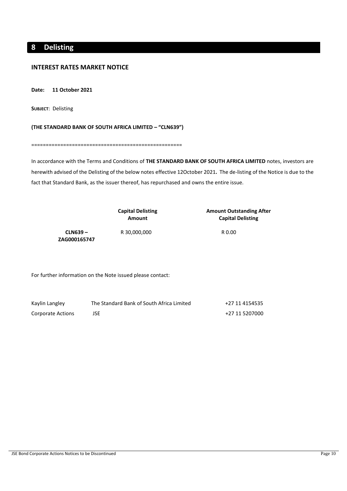# <span id="page-9-0"></span>**8 Delisting**

## **INTEREST RATES MARKET NOTICE**

**Date: 11 October 2021**

**SUBJECT**: Delisting

#### **(THE STANDARD BANK OF SOUTH AFRICA LIMITED – "CLN639")**

====================================================

In accordance with the Terms and Conditions of **THE STANDARD BANK OF SOUTH AFRICA LIMITED** notes, investors are herewith advised of the Delisting of the below notes effective 12October 2021**.** The de-listing of the Notice is due to the fact that Standard Bank, as the issuer thereof, has repurchased and owns the entire issue.

|                          | <b>Capital Delisting</b><br>Amount | <b>Amount Outstanding After</b><br><b>Capital Delisting</b> |
|--------------------------|------------------------------------|-------------------------------------------------------------|
| CLN639 –<br>ZAG000165747 | R 30,000,000                       | R 0.00                                                      |

| Kaylin Langley    | The Standard Bank of South Africa Limited | +27 11 4154535 |
|-------------------|-------------------------------------------|----------------|
| Corporate Actions |                                           | +27 11 5207000 |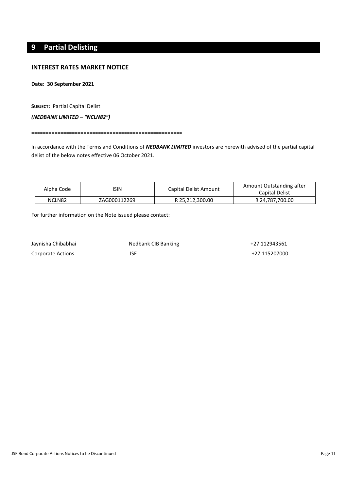# <span id="page-10-0"></span>**9 Partial Delisting**

## **INTEREST RATES MARKET NOTICE**

**Date: 30 September 2021**

**SUBJECT:** Partial Capital Delist

*(NEDBANK LIMITED – "NCLN82")*

====================================================

In accordance with the Terms and Conditions of *NEDBANK LIMITED* investors are herewith advised of the partial capital delist of the below notes effective 06 October 2021.

| Alpha Code | 'SIN         | Capital Delist Amount | Amount Outstanding after<br>Capital Delist |
|------------|--------------|-----------------------|--------------------------------------------|
| NCLN82     | ZAG000112269 | R 25,212,300.00       | R 24.787.700.00                            |

| Jaynisha Chibabhai | Nedbank CIB Banking | +27 112943561 |
|--------------------|---------------------|---------------|
| Corporate Actions  |                     | +27 115207000 |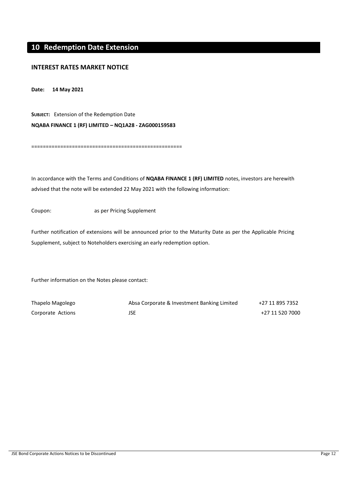# <span id="page-11-0"></span>**10 Redemption Date Extension**

## **INTEREST RATES MARKET NOTICE**

**Date: 14 May 2021**

**SUBJECT:** Extension of the Redemption Date **NQABA FINANCE 1 (RF) LIMITED** *–* **NQ1A28 - ZAG000159583**

====================================================

In accordance with the Terms and Conditions of **NQABA FINANCE 1 (RF) LIMITED** notes, investors are herewith advised that the note will be extended 22 May 2021 with the following information:

Coupon: as per Pricing Supplement

Further notification of extensions will be announced prior to the Maturity Date as per the Applicable Pricing Supplement, subject to Noteholders exercising an early redemption option.

| Thapelo Magolego  | Absa Corporate & Investment Banking Limited | +27 11 895 7352 |
|-------------------|---------------------------------------------|-----------------|
| Corporate Actions | JSE                                         | +27 11 520 7000 |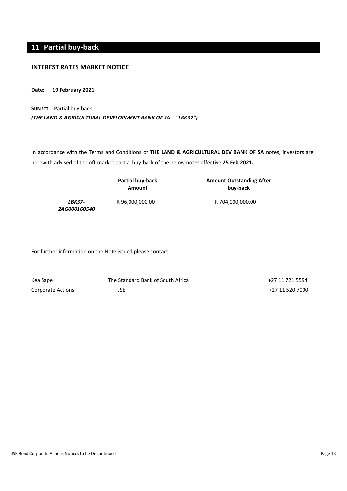# <span id="page-12-0"></span>**11 Partial buy-back**

## **INTEREST RATES MARKET NOTICE**

**Date: 19 February 2021**

**SUBJECT**: Partial buy-back *(THE LAND & AGRICULTURAL DEVELOPMENT BANK OF SA – "LBK37")*

====================================================

In accordance with the Terms and Conditions of **THE LAND & AGRICULTURAL DEV BANK OF SA** notes, investors are herewith advised of the off-market partial buy-back of the below notes effective **25 Feb 2021.**

|                                      | Partial buy-back<br>Amount | <b>Amount Outstanding After</b><br>buy-back |
|--------------------------------------|----------------------------|---------------------------------------------|
| <b>LBK37-</b><br><i>ZAG000160540</i> | R 96,000,000.00            | R 704,000,000.00                            |

| Kea Sape          | The Standard Bank of South Africa | +27 11 721 5594 |
|-------------------|-----------------------------------|-----------------|
| Corporate Actions | JSE                               | +27 11 520 7000 |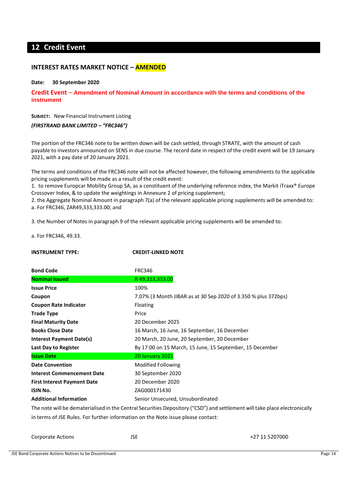# <span id="page-13-0"></span>**12 Credit Event**

## **INTEREST RATES MARKET NOTICE – AMENDED**

#### **Date: 30 September 2020**

**Credit Event** – **Amendment of Nominal Amount in accordance with the terms and conditions of the instrument**

**SUBJECT:** New Financial Instrument Listing

*(FIRSTRAND BANK LIMITED – "FRC346")*

The portion of the FRC346 note to be written down will be cash settled, through STRATE, with the amount of cash payable to investors announced on SENS in due course. The record date in respect of the credit event will be 19 January 2021, with a pay date of 20 January 2021.

The terms and conditions of the FRC346 note will not be affected however, the following amendments to the applicable pricing supplements will be made as a result of the credit event:

1. to remove Europcar Mobility Group SA, as a constituent of the underlying reference index, the Markit iTraxx® Europe Crossover Index, & to update the weightings in Annexure 2 of pricing supplement;

2. the Aggregate Nominal Amount in paragraph 7(a) of the relevant applicable pricing supplements will be amended to: a. For FRC346, ZAR49,333,333.00; and

3. the Number of Notes in paragraph 9 of the relevant applicable pricing supplements will be amended to:

a. For FRC346, 49.33.

| <b>INSTRUMENT TYPE:</b>            | <b>CREDIT-LINKED NOTE</b>                                                                                                  |
|------------------------------------|----------------------------------------------------------------------------------------------------------------------------|
| <b>Bond Code</b>                   | <b>FRC346</b>                                                                                                              |
| <b>Nominal Issued</b>              | R49,333,333.00                                                                                                             |
| <b>Issue Price</b>                 | 100%                                                                                                                       |
| Coupon                             | 7.07% (3 Month JIBAR as at 30 Sep 2020 of 3.350 % plus 372bps)                                                             |
| <b>Coupon Rate Indicator</b>       | Floating                                                                                                                   |
| <b>Trade Type</b>                  | Price                                                                                                                      |
| <b>Final Maturity Date</b>         | 20 December 2025                                                                                                           |
| <b>Books Close Date</b>            | 16 March, 16 June, 16 September, 16 December                                                                               |
| <b>Interest Payment Date(s)</b>    | 20 March, 20 June, 20 September, 20 December                                                                               |
| Last Day to Register               | By 17:00 on 15 March, 15 June, 15 September, 15 December                                                                   |
| <b>Issue Date</b>                  | 20 January 2021                                                                                                            |
| <b>Date Convention</b>             | Modified Following                                                                                                         |
| <b>Interest Commencement Date</b>  | 30 September 2020                                                                                                          |
| <b>First Interest Payment Date</b> | 20 December 2020                                                                                                           |
| <b>ISIN No.</b>                    | ZAG000171430                                                                                                               |
| <b>Additional Information</b>      | Senior Unsecured, Unsubordinated                                                                                           |
|                                    | The note will be dematerialised in the Central Securities Depository ("CSD") and settlement will take place electronically |
|                                    | in terms of JSE Rules. For further information on the Note issue please contact:                                           |

Corporate Actions JSE +27 11 5207000